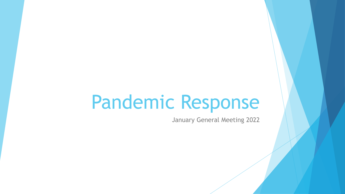# Pandemic Response

January General Meeting 2022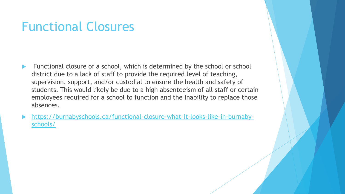#### Functional Closures

- Functional closure of a school, which is determined by the school or school district due to a lack of staff to provide the required level of teaching, supervision, support, and/or custodial to ensure the health and safety of students. This would likely be due to a high absenteeism of all staff or certain employees required for a school to function and the inability to replace those absences.
- [https://burnabyschools.ca/functional-closure-what-it-looks-like-in-burnaby](https://burnabyschools.ca/functional-closure-what-it-looks-like-in-burnaby-schools/)schools/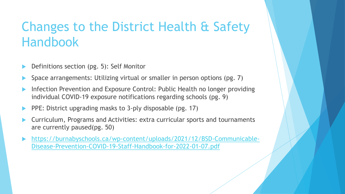## Changes to the District Health & Safety Handbook

- Definitions section (pg. 5): Self Monitor
- Space arrangements: Utilizing virtual or smaller in person options (pg. 7)
- Infection Prevention and Exposure Control: Public Health no longer providing individual COVID-19 exposure notifications regarding schools (pg. 9)
- PPE: District upgrading masks to 3-ply disposable (pg. 17)
- Curriculum, Programs and Activities: extra curricular sports and tournaments are currently paused(pg. 50)
- [https://burnabyschools.ca/wp-content/uploads/2021/12/BSD-Communicable-](https://burnabyschools.ca/wp-content/uploads/2021/12/BSD-Communicable-Disease-Prevention-COVID-19-Staff-Handbook-for-2022-01-07.pdf)Disease-Prevention-COVID-19-Staff-Handbook-for-2022-01-07.pdf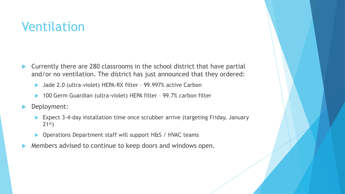### Ventilation

- ▶ Currently there are 280 classrooms in the school district that have partial and/or no ventilation. The district has just announced that they ordered:
	- ▶ Jade 2.0 (ultra-violet) HEPA-RX filter 99.997% active Carbon
	- 100 Germ Guardian (ultra-violet) HEPA filter 99.7% carbon filter
- Deployment:
	- ▶ Expect 3-4-day installation time once scrubber arrive (targeting Friday, January  $21^{st}$
	- ▶ Operations Department staff will support H&S / HVAC teams
- Members advised to continue to keep doors and windows open.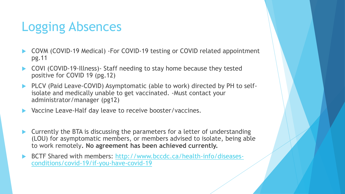## Logging Absences

- COVM (COVID-19 Medical) -For COVID-19 testing or COVID related appointment pg.11
- COVI (COVID-19-Illness)- Staff needing to stay home because they tested positive for COVID 19 (pg.12)
- PLCV (Paid Leave-COVID) Asymptomatic (able to work) directed by PH to selfisolate and medically unable to get vaccinated. -Must contact your administrator/manager (pg12)
- Vaccine Leave-Half day leave to receive booster/vaccines.
- Currently the BTA is discussing the parameters for a letter of understanding (LOU) for asymptomatic members, or members advised to isolate, being able to work remotely**. No agreement has been achieved currently.**
- [BCTF Shared with members: http://www.bccdc.ca/health-info/diseases](http://www.bccdc.ca/health-info/diseases-conditions/covid-19/if-you-have-covid-19)conditions/covid-19/if-you-have-covid-19